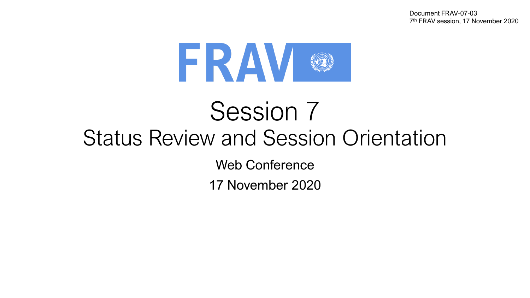Document FRAV-07-03 7 th FRAV session, 17 November 2020



# Session 7 Status Review and Session Orientation

Web Conference

17 November 2020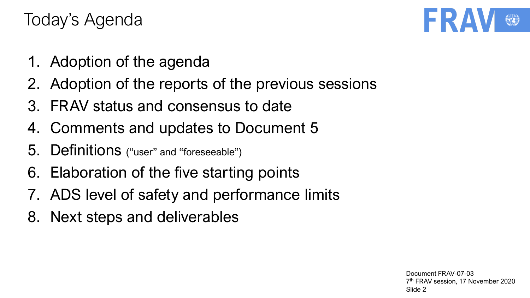- 1. Adoption of the agenda
- 2. Adoption of the reports of the previous sessions
- 3. FRAV status and consensus to date
- 4. Comments and updates to Document 5
- 5. Definitions ("user" and "foreseeable")
- 6. Elaboration of the five starting points
- 7. ADS level of safety and performance limits
- 8. Next steps and deliverables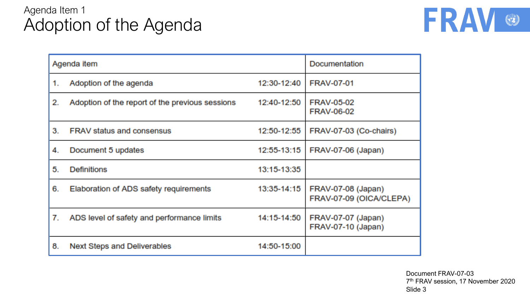# Agenda Item 1 Adoption of the Agenda



| Agenda item |                                                 |             | Documentation                                 |
|-------------|-------------------------------------------------|-------------|-----------------------------------------------|
| 1.          | Adoption of the agenda                          | 12:30-12:40 | <b>FRAV-07-01</b>                             |
| 2.          | Adoption of the report of the previous sessions | 12:40-12:50 | <b>FRAV-05-02</b><br><b>FRAV-06-02</b>        |
| 3.          | <b>FRAV status and consensus</b>                | 12:50-12:55 | FRAV-07-03 (Co-chairs)                        |
| 4.          | Document 5 updates                              | 12:55-13:15 | FRAV-07-06 (Japan)                            |
| 5.          | <b>Definitions</b>                              | 13:15-13:35 |                                               |
| 6.          | Elaboration of ADS safety requirements          | 13:35-14:15 | FRAV-07-08 (Japan)<br>FRAV-07-09 (OICA/CLEPA) |
| 7.          | ADS level of safety and performance limits      | 14:15-14:50 | FRAV-07-07 (Japan)<br>FRAV-07-10 (Japan)      |
| 8.          | <b>Next Steps and Deliverables</b>              | 14:50-15:00 |                                               |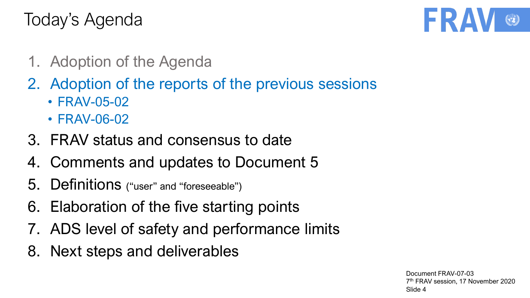

- 1. Adoption of the Agenda
- 2. Adoption of the reports of the previous sessions
	- FRAV-05-02
	- FRAV-06-02
- 3. FRAV status and consensus to date
- 4. Comments and updates to Document 5
- 5. Definitions ("user" and "foreseeable")
- 6. Elaboration of the five starting points
- 7. ADS level of safety and performance limits
- 8. Next steps and deliverables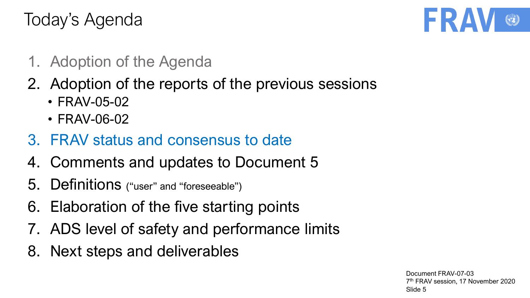

- 1. Adoption of the Agenda
- 2. Adoption of the reports of the previous sessions
	- FRAV-05-02
	- FRAV-06-02
- 3. FRAV status and consensus to date
- 4. Comments and updates to Document 5
- 5. Definitions ("user" and "foreseeable")
- 6. Elaboration of the five starting points
- 7. ADS level of safety and performance limits
- 8. Next steps and deliverables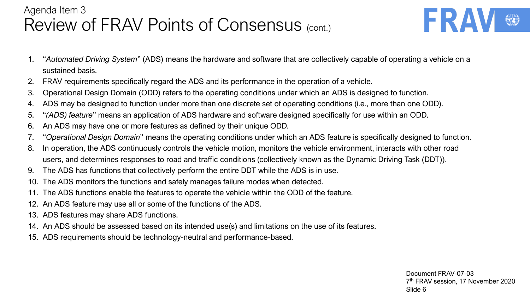# Agenda Item 3 Review of FRAV Points of Consensus (cont.)

- FRA
- 1. "*Automated Driving System*" (ADS) means the hardware and software that are collectively capable of operating a vehicle on a sustained basis.
- 2. FRAV requirements specifically regard the ADS and its performance in the operation of a vehicle.
- 3. Operational Design Domain (ODD) refers to the operating conditions under which an ADS is designed to function.
- 4. ADS may be designed to function under more than one discrete set of operating conditions (i.e., more than one ODD).
- 5. "*(ADS) feature*" means an application of ADS hardware and software designed specifically for use within an ODD.
- 6. An ADS may have one or more features as defined by their unique ODD.
- 7. "*Operational Design Domain*" means the operating conditions under which an ADS feature is specifically designed to function.
- 8. In operation, the ADS continuously controls the vehicle motion, monitors the vehicle environment, interacts with other road users, and determines responses to road and traffic conditions (collectively known as the Dynamic Driving Task (DDT)).
- 9. The ADS has functions that collectively perform the entire DDT while the ADS is in use.
- 10. The ADS monitors the functions and safely manages failure modes when detected.
- 11. The ADS functions enable the features to operate the vehicle within the ODD of the feature.
- 12. An ADS feature may use all or some of the functions of the ADS.
- 13. ADS features may share ADS functions.
- 14. An ADS should be assessed based on its intended use(s) and limitations on the use of its features.
- 15. ADS requirements should be technology-neutral and performance-based.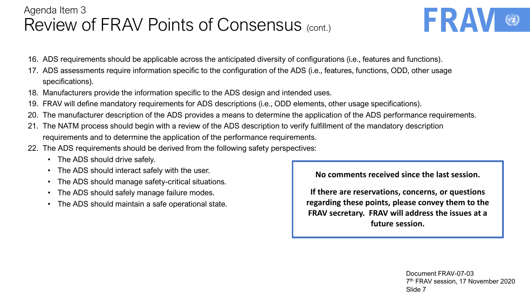## Agenda Item 3 Review of FRAV Points of Consensus (cont.)

- FRA
- 16. ADS requirements should be applicable across the anticipated diversity of configurations (i.e., features and functions).
- 17. ADS assessments require information specific to the configuration of the ADS (i.e., features, functions, ODD, other usage specifications).
- 18. Manufacturers provide the information specific to the ADS design and intended uses.
- 19. FRAV will define mandatory requirements for ADS descriptions (i.e., ODD elements, other usage specifications).
- 20. The manufacturer description of the ADS provides a means to determine the application of the ADS performance requirements.
- 21. The NATM process should begin with a review of the ADS description to verify fulfillment of the mandatory description requirements and to determine the application of the performance requirements.
- 22. The ADS requirements should be derived from the following safety perspectives:
	- The ADS should drive safely.
	- The ADS should interact safely with the user.
	- The ADS should manage safety-critical situations.
	- The ADS should safely manage failure modes.
	- The ADS should maintain a safe operational state.

**No comments received since the last session.**

**If there are reservations, concerns, or questions regarding these points, please convey them to the FRAV secretary. FRAV will address the issues at a future session.**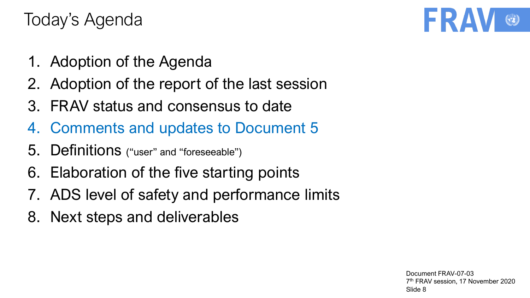- 1. Adoption of the Agenda
- 2. Adoption of the report of the last session
- 3. FRAV status and consensus to date
- 4. Comments and updates to Document 5
- 5. Definitions ("user" and "foreseeable")
- 6. Elaboration of the five starting points
- 7. ADS level of safety and performance limits
- 8. Next steps and deliverables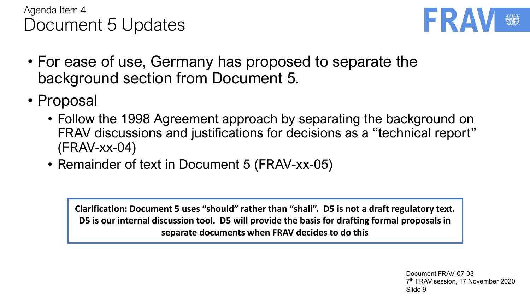



- For ease of use, Germany has proposed to separate the background section from Document 5.
- Proposal
	- Follow the 1998 Agreement approach by separating the background on FRAV discussions and justifications for decisions as a "technical report" (FRAV-xx-04)
	- Remainder of text in Document 5 (FRAV-xx-05)

**Clarification: Document 5 uses "should" rather than "shall". D5 is not a draft regulatory text. D5 is our internal discussion tool. D5 will provide the basis for drafting formal proposals in separate documents when FRAV decides to do this**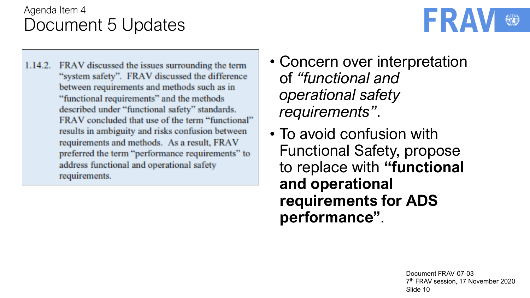

- 1.14.2. FRAV discussed the issues surrounding the term "system safety". FRAV discussed the difference between requirements and methods such as in "functional requirements" and the methods described under "functional safety" standards. FRAV concluded that use of the term "functional" results in ambiguity and risks confusion between requirements and methods. As a result, FRAV preferred the term "performance requirements" to address functional and operational safety requirements.
- Concern over interpretation of *"functional and operational safety requirements"*.
- To avoid confusion with Functional Safety, propose to replace with **"functional and operational requirements for ADS performance"**.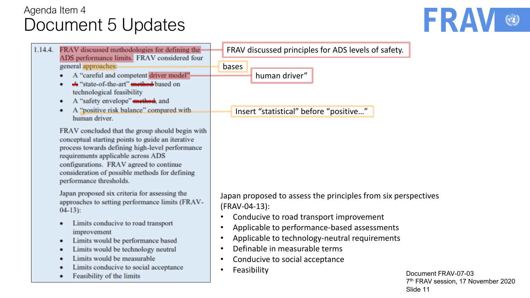

| FRAV discussed methodologies for defining the<br>1.14.4.<br>ADS performance limits. FRAV considered four<br>general approaches:<br>A "careful and competent driver model"<br>A "state-of-the-art" method based on<br>technological feasibility                                                                                                                                  | FRAV discussed principles for ADS levels of safety.<br>bases<br>human driver"                                                                                                                                                                                                                                                                                     |
|---------------------------------------------------------------------------------------------------------------------------------------------------------------------------------------------------------------------------------------------------------------------------------------------------------------------------------------------------------------------------------|-------------------------------------------------------------------------------------------------------------------------------------------------------------------------------------------------------------------------------------------------------------------------------------------------------------------------------------------------------------------|
| A "safety envelope" method, and<br>٠<br>A "positive risk balance" compared with<br>٠<br>human driver.                                                                                                                                                                                                                                                                           | Insert "statistical" before "positive"                                                                                                                                                                                                                                                                                                                            |
| FRAV concluded that the group should begin with<br>conceptual starting points to guide an iterative<br>process towards defining high-level performance<br>requirements applicable across ADS<br>configurations. FRAV agreed to continue<br>consideration of possible methods for defining<br>performance thresholds.                                                            |                                                                                                                                                                                                                                                                                                                                                                   |
| Japan proposed six criteria for assessing the<br>approaches to setting performance limits (FRAV-<br>$04-13$ :<br>Limits conducive to road transport<br>٠<br>improvement<br>Limits would be performance based<br>٠<br>Limits would be technology neutral<br>۰<br>Limits would be measurable<br>٠<br>Limits conducive to social acceptance<br>٠<br>Feasibility of the limits<br>۰ | Japan proposed to assess the principles from six perspectives<br>(FRAV-04-13):<br>Conducive to road transport improvement<br>Applicable to performance-based assessments<br>Applicable to technology-neutral requirements<br>Definable in measurable terms<br>Conducive to social acceptance<br>Feasibility<br>$\bullet$<br>Document F<br>7 <sup>th</sup> FRAV se |

FRAV-07-03  $7^{\mathrm{m}}$  FRAV session, 17 November 2020 Slide 11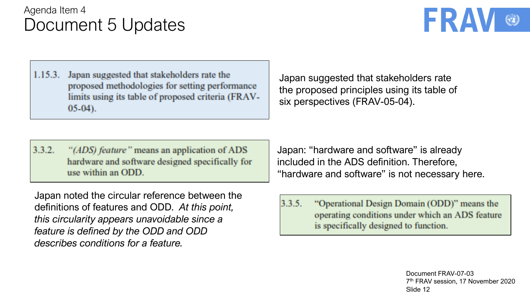

 $1.15.3.$ Japan suggested that stakeholders rate the proposed methodologies for setting performance limits using its table of proposed criteria (FRAV- $05-04$ ).

 $3.3.2.$ "(ADS) feature" means an application of ADS hardware and software designed specifically for use within an ODD.

Japan suggested that stakeholders rate the proposed principles using its table of six perspectives (FRAV-05-04).

Japan: "hardware and software" is already included in the ADS definition. Therefore, "hardware and software" is not necessary here.

Japan noted the circular reference between the definitions of features and ODD. *At this point, this circularity appears unavoidable since a feature is defined by the ODD and ODD describes conditions for a feature.*

 $3.3.5.$ "Operational Design Domain (ODD)" means the operating conditions under which an ADS feature is specifically designed to function.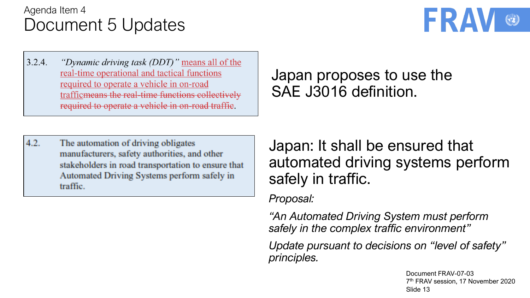

 $3.2.4.$ "Dynamic driving task (DDT)" means all of the real-time operational and tactical functions required to operate a vehicle in on-road trafficmeans the real-time functions collectively required to operate a vehicle in on-road traffic.

 $4.2.$ The automation of driving obligates manufacturers, safety authorities, and other stakeholders in road transportation to ensure that Automated Driving Systems perform safely in traffic.

Japan proposes to use the SAE J3016 definition.

Japan: It shall be ensured that automated driving systems perform safely in traffic.

*Proposal:*

*"An Automated Driving System must perform safely in the complex traffic environment"*

*Update pursuant to decisions on "level of safety" principles.*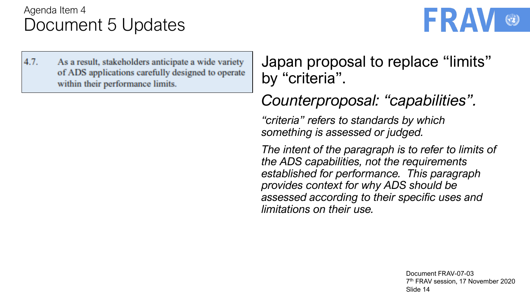

 $4.7.$ As a result, stakeholders anticipate a wide variety of ADS applications carefully designed to operate within their performance limits.

Japan proposal to replace "limits" by "criteria".

*Counterproposal: "capabilities".*

*"criteria" refers to standards by which something is assessed or judged.* 

*The intent of the paragraph is to refer to limits of the ADS capabilities, not the requirements established for performance. This paragraph provides context for why ADS should be assessed according to their specific uses and limitations on their use.*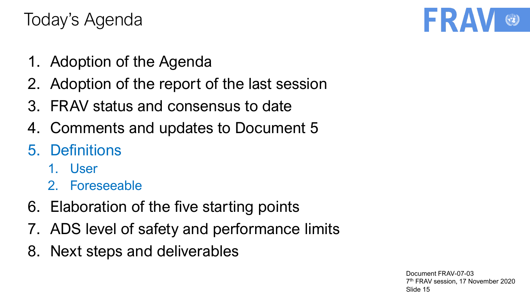- 1. Adoption of the Agenda
- 2. Adoption of the report of the last session
- 3. FRAV status and consensus to date
- 4. Comments and updates to Document 5
- 5. Definitions
	- 1. User
	- 2. Foreseeable
- 6. Elaboration of the five starting points
- 7. ADS level of safety and performance limits
- 8. Next steps and deliverables

Document FRAV-07-03 7 th FRAV session, 17 November 2020 Slide 15

FRA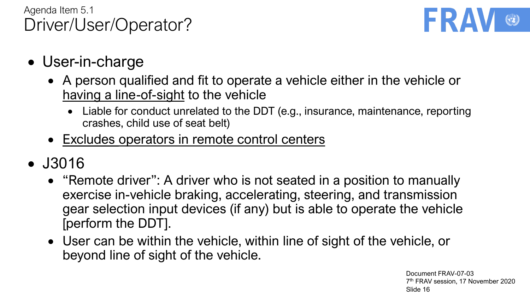

- User-in-charge
	- A person qualified and fit to operate a vehicle either in the vehicle or having a line-of-sight to the vehicle
		- Liable for conduct unrelated to the DDT (e.g., insurance, maintenance, reporting crashes, child use of seat belt)
	- Excludes operators in remote control centers
- J3016
	- "Remote driver": A driver who is not seated in a position to manually exercise in-vehicle braking, accelerating, steering, and transmission gear selection input devices (if any) but is able to operate the vehicle [perform the DDT].
	- User can be within the vehicle, within line of sight of the vehicle, or beyond line of sight of the vehicle.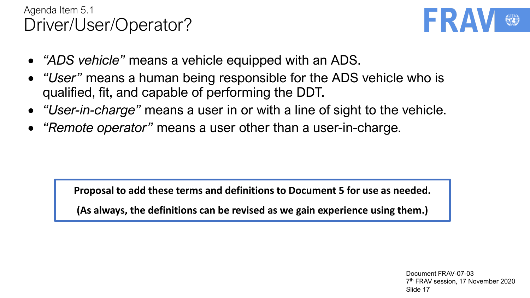### Agenda Item 5.1 Driver/User/Operator?



- *"ADS vehicle"* means a vehicle equipped with an ADS.
- *"User"* means a human being responsible for the ADS vehicle who is qualified, fit, and capable of performing the DDT.
- *"User-in-charge"* means a user in or with a line of sight to the vehicle.
- *"Remote operator"* means a user other than a user-in-charge.

**Proposal to add these terms and definitions to Document 5 for use as needed.**

**(As always, the definitions can be revised as we gain experience using them.)**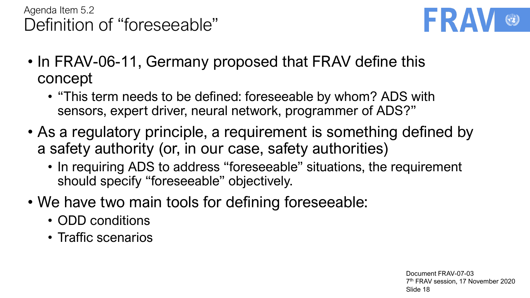# Agenda Item 5.2 Definition of "foreseeable"



- In FRAV-06-11, Germany proposed that FRAV define this concept
	- "This term needs to be defined: foreseeable by whom? ADS with sensors, expert driver, neural network, programmer of ADS?"
- As a regulatory principle, a requirement is something defined by a safety authority (or, in our case, safety authorities)
	- In requiring ADS to address "foreseeable" situations, the requirement should specify "foreseeable" objectively.
- We have two main tools for defining foreseeable:
	- ODD conditions
	- Traffic scenarios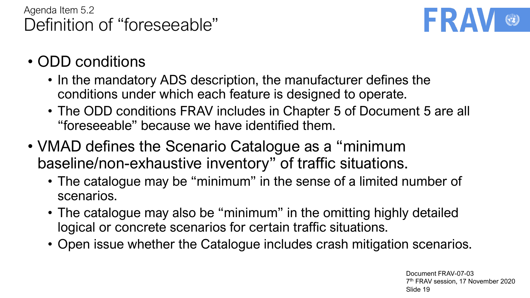## Agenda Item 5.2 Definition of "foreseeable"



- ODD conditions
	- In the mandatory ADS description, the manufacturer defines the conditions under which each feature is designed to operate.
	- The ODD conditions FRAV includes in Chapter 5 of Document 5 are all "foreseeable" because we have identified them.
- VMAD defines the Scenario Catalogue as a "minimum baseline/non-exhaustive inventory" of traffic situations.
	- The catalogue may be "minimum" in the sense of a limited number of scenarios.
	- The catalogue may also be "minimum" in the omitting highly detailed logical or concrete scenarios for certain traffic situations.
	- Open issue whether the Catalogue includes crash mitigation scenarios.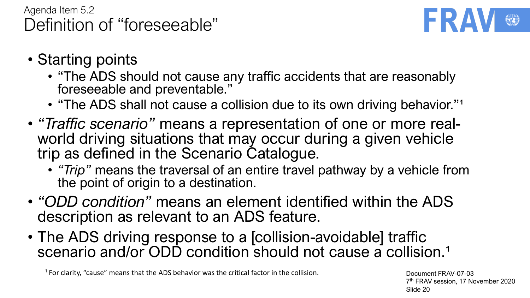

- Starting points
	- "The ADS should not cause any traffic accidents that are reasonably foreseeable and preventable."
	- "The ADS shall not cause a collision due to its own driving behavior."<sup>1</sup>
- *"Traffic scenario"* means a representation of one or more realworld driving situations that may occur during a given vehicle trip as defined in the Scenario Catalogue.
	- *"Trip"* means the traversal of an entire travel pathway by a vehicle from the point of origin to a destination.
- *"ODD condition"* means an element identified within the ADS description as relevant to an ADS feature.
- The ADS driving response to a [collision-avoidable] traffic scenario and/or ODD condition should not cause a collision.<sup>1</sup>

<sup>1</sup> For clarity, "cause" means that the ADS behavior was the critical factor in the collision.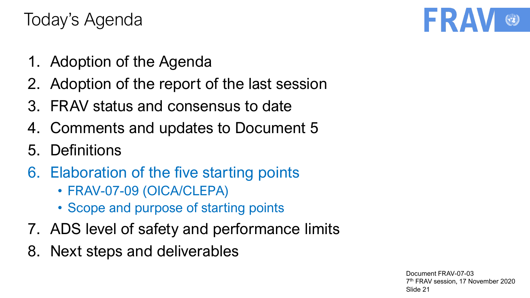- 1. Adoption of the Agenda
- 2. Adoption of the report of the last session
- 3. FRAV status and consensus to date
- 4. Comments and updates to Document 5
- 5. Definitions
- 6. Elaboration of the five starting points
	- FRAV-07-09 (OICA/CLEPA)
	- Scope and purpose of starting points
- 7. ADS level of safety and performance limits
- 8. Next steps and deliverables

Document FRAV-07-03 7 th FRAV session, 17 November 2020 Slide 21

FRA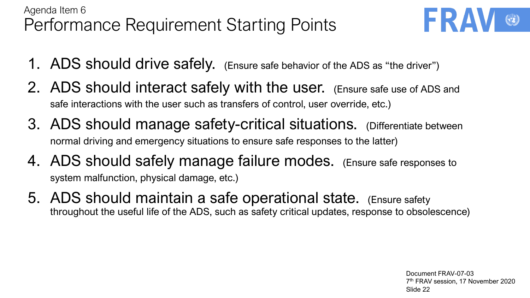# Agenda Item 6 Performance Requirement Starting Points



- 1. ADS should drive safely. (Ensure safe behavior of the ADS as "the driver")
- 2. ADS should interact safely with the user. (Ensure safe use of ADS and safe interactions with the user such as transfers of control, user override, etc.)
- 3. ADS should manage safety-critical situations. (Differentiate between normal driving and emergency situations to ensure safe responses to the latter)
- 4. ADS should safely manage failure modes. (Ensure safe responses to system malfunction, physical damage, etc.)
- 5. ADS should maintain a safe operational state. (Ensure safety throughout the useful life of the ADS, such as safety critical updates, response to obsolescence)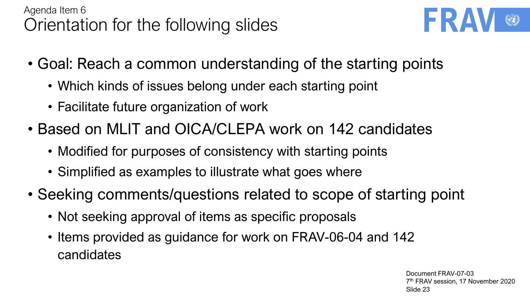

- Goal: Reach a common understanding of the starting points
	- Which kinds of issues belong under each starting point
	- Facilitate future organization of work
- Based on MLIT and OICA/CLEPA work on 142 candidates
	- Modified for purposes of consistency with starting points
	- Simplified as examples to illustrate what goes where
- Seeking comments/questions related to scope of starting point
	- Not seeking approval of items as specific proposals
	- Items provided as guidance for work on FRAV-06-04 and 142 candidates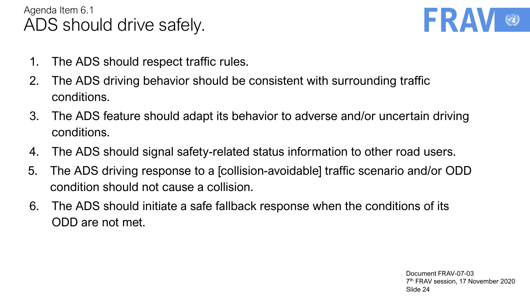# Agenda Item 6.1 ADS should drive safely.



- 1. The ADS should respect traffic rules.
- 2. The ADS driving behavior should be consistent with surrounding traffic conditions.
- 3. The ADS feature should adapt its behavior to adverse and/or uncertain driving conditions.
- 4. The ADS should signal safety-related status information to other road users.
- 5. The ADS driving response to a [collision-avoidable] traffic scenario and/or ODD condition should not cause a collision.
- 6. The ADS should initiate a safe fallback response when the conditions of its ODD are not met.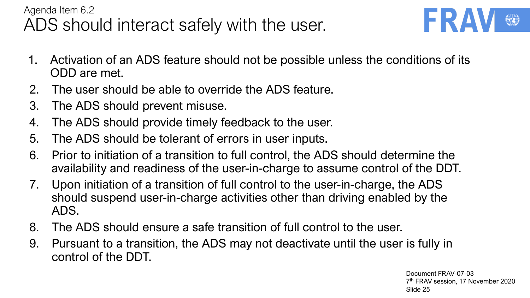## Agenda Item 6.2 ADS should interact safely with the user.



- 1. Activation of an ADS feature should not be possible unless the conditions of its ODD are met.
- 2. The user should be able to override the ADS feature.
- 3. The ADS should prevent misuse.
- 4. The ADS should provide timely feedback to the user.
- 5. The ADS should be tolerant of errors in user inputs.
- 6. Prior to initiation of a transition to full control, the ADS should determine the availability and readiness of the user-in-charge to assume control of the DDT.
- 7. Upon initiation of a transition of full control to the user-in-charge, the ADS should suspend user-in-charge activities other than driving enabled by the ADS.
- 8. The ADS should ensure a safe transition of full control to the user.
- 9. Pursuant to a transition, the ADS may not deactivate until the user is fully in control of the DDT.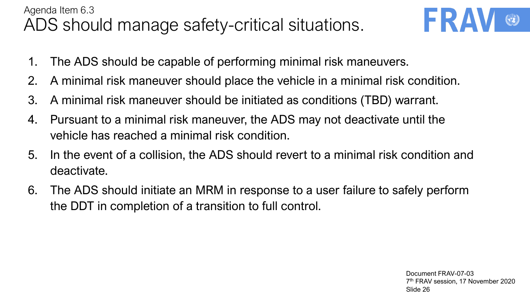# Agenda Item 6.3 ADS should manage safety-critical situations.



- 1. The ADS should be capable of performing minimal risk maneuvers.
- 2. A minimal risk maneuver should place the vehicle in a minimal risk condition.
- 3. A minimal risk maneuver should be initiated as conditions (TBD) warrant.
- 4. Pursuant to a minimal risk maneuver, the ADS may not deactivate until the vehicle has reached a minimal risk condition.
- 5. In the event of a collision, the ADS should revert to a minimal risk condition and deactivate.
- 6. The ADS should initiate an MRM in response to a user failure to safely perform the DDT in completion of a transition to full control.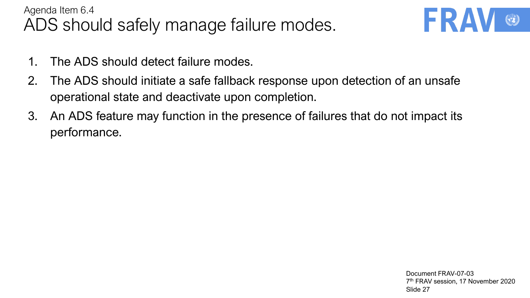## Agenda Item 6.4 ADS should safely manage failure modes.



- 1. The ADS should detect failure modes.
- 2. The ADS should initiate a safe fallback response upon detection of an unsafe operational state and deactivate upon completion.
- 3. An ADS feature may function in the presence of failures that do not impact its performance.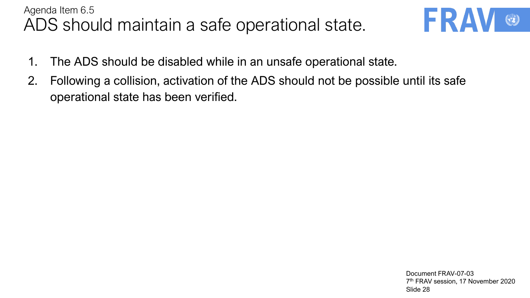#### Agenda Item 6.5 ADS should maintain a safe operational state.



- 1. The ADS should be disabled while in an unsafe operational state.
- 2. Following a collision, activation of the ADS should not be possible until its safe operational state has been verified.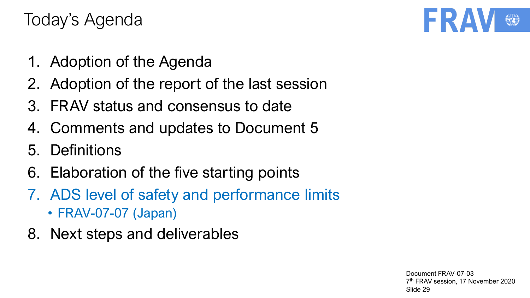- 1. Adoption of the Agenda
- 2. Adoption of the report of the last session
- 3. FRAV status and consensus to date
- 4. Comments and updates to Document 5
- 5. Definitions
- 6. Elaboration of the five starting points
- 7. ADS level of safety and performance limits
	- FRAV-07-07 (Japan)
- 8. Next steps and deliverables

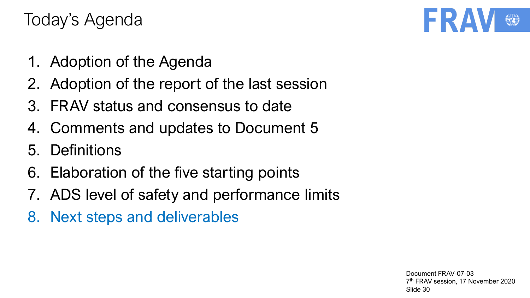- 1. Adoption of the Agenda
- 2. Adoption of the report of the last session
- 3. FRAV status and consensus to date
- 4. Comments and updates to Document 5
- 5. Definitions
- 6. Elaboration of the five starting points
- 7. ADS level of safety and performance limits
- 8. Next steps and deliverables

Document FRAV-07-03 7 th FRAV session, 17 November 2020 Slide 30

FRA